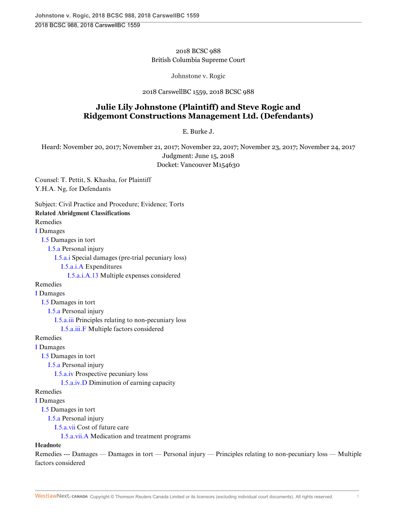### 2018 BCSC 988 British Columbia Supreme Court

Johnstone v. Rogic

#### 2018 CarswellBC 1559, 2018 BCSC 988

# **Julie Lily Johnstone (Plaintiff) and Steve Rogic and Ridgemont Constructions Management Ltd. (Defendants)**

E. Burke J.

Heard: November 20, 2017; November 21, 2017; November 22, 2017; November 23, 2017; November 24, 2017 Judgment: June 15, 2018 Docket: Vancouver M154630

Counsel: T. Pettit, S. Khasha, for Plaintiff Y.H.A. Ng, for Defendants

factors considered

Subject: Civil Practice and Procedure; Evidence; Torts **Related Abridgment Classifications** Remedies [I](http://nextcanada.westlaw.com/Browse/Home/AbridgmentTOC/REM.I/View.html?docGuid=I6f088c4a6c555c3ce0540010e03eefe0&searchResult=True&originationContext=document&transitionType=DocumentItem&vr=3.0&rs=cblt1.0&contextData=(sc.History*oc.UserEnteredCitation)) Damages [I.5](http://nextcanada.westlaw.com/Browse/Home/AbridgmentTOC/REM.I.5/View.html?docGuid=I6f088c4a6c555c3ce0540010e03eefe0&searchResult=True&originationContext=document&transitionType=DocumentItem&vr=3.0&rs=cblt1.0&contextData=(sc.History*oc.UserEnteredCitation)) Damages in tort [I.5.a](http://nextcanada.westlaw.com/Browse/Home/AbridgmentTOC/REM.I.5.a/View.html?docGuid=I6f088c4a6c555c3ce0540010e03eefe0&searchResult=True&originationContext=document&transitionType=DocumentItem&vr=3.0&rs=cblt1.0&contextData=(sc.History*oc.UserEnteredCitation)) Personal injury [I.5.a.i](http://nextcanada.westlaw.com/Browse/Home/AbridgmentTOC/REM.I.5.a.i/View.html?docGuid=I6f088c4a6c555c3ce0540010e03eefe0&searchResult=True&originationContext=document&transitionType=DocumentItem&vr=3.0&rs=cblt1.0&contextData=(sc.History*oc.UserEnteredCitation)) Special damages (pre-trial pecuniary loss) [I.5.a.i.A](http://nextcanada.westlaw.com/Browse/Home/AbridgmentTOC/REM.I.5.a.i.A/View.html?docGuid=I6f088c4a6c555c3ce0540010e03eefe0&searchResult=True&originationContext=document&transitionType=DocumentItem&vr=3.0&rs=cblt1.0&contextData=(sc.History*oc.UserEnteredCitation)) Expenditures [I.5.a.i.A.13](http://nextcanada.westlaw.com/Browse/Home/AbridgmentTOC/REM.I.5.a.i.A.13/View.html?docGuid=I6f088c4a6c555c3ce0540010e03eefe0&searchResult=True&originationContext=document&transitionType=DocumentItem&vr=3.0&rs=cblt1.0&contextData=(sc.History*oc.UserEnteredCitation)) Multiple expenses considered Remedies [I](http://nextcanada.westlaw.com/Browse/Home/AbridgmentTOC/REM.I/View.html?docGuid=I6f088c4a6c555c3ce0540010e03eefe0&searchResult=True&originationContext=document&transitionType=DocumentItem&vr=3.0&rs=cblt1.0&contextData=(sc.History*oc.UserEnteredCitation)) Damages [I.5](http://nextcanada.westlaw.com/Browse/Home/AbridgmentTOC/REM.I.5/View.html?docGuid=I6f088c4a6c555c3ce0540010e03eefe0&searchResult=True&originationContext=document&transitionType=DocumentItem&vr=3.0&rs=cblt1.0&contextData=(sc.History*oc.UserEnteredCitation)) Damages in tort [I.5.a](http://nextcanada.westlaw.com/Browse/Home/AbridgmentTOC/REM.I.5.a/View.html?docGuid=I6f088c4a6c555c3ce0540010e03eefe0&searchResult=True&originationContext=document&transitionType=DocumentItem&vr=3.0&rs=cblt1.0&contextData=(sc.History*oc.UserEnteredCitation)) Personal injury [I.5.a.iii](http://nextcanada.westlaw.com/Browse/Home/AbridgmentTOC/REM.I.5.a.iii/View.html?docGuid=I6f088c4a6c555c3ce0540010e03eefe0&searchResult=True&originationContext=document&transitionType=DocumentItem&vr=3.0&rs=cblt1.0&contextData=(sc.History*oc.UserEnteredCitation)) Principles relating to non-pecuniary loss [I.5.a.iii.F](http://nextcanada.westlaw.com/Browse/Home/AbridgmentTOC/REM.I.5.a.iii.F/View.html?docGuid=I6f088c4a6c555c3ce0540010e03eefe0&searchResult=True&originationContext=document&transitionType=DocumentItem&vr=3.0&rs=cblt1.0&contextData=(sc.History*oc.UserEnteredCitation)) Multiple factors considered Remedies [I](http://nextcanada.westlaw.com/Browse/Home/AbridgmentTOC/REM.I/View.html?docGuid=I6f088c4a6c555c3ce0540010e03eefe0&searchResult=True&originationContext=document&transitionType=DocumentItem&vr=3.0&rs=cblt1.0&contextData=(sc.History*oc.UserEnteredCitation)) Damages [I.5](http://nextcanada.westlaw.com/Browse/Home/AbridgmentTOC/REM.I.5/View.html?docGuid=I6f088c4a6c555c3ce0540010e03eefe0&searchResult=True&originationContext=document&transitionType=DocumentItem&vr=3.0&rs=cblt1.0&contextData=(sc.History*oc.UserEnteredCitation)) Damages in tort [I.5.a](http://nextcanada.westlaw.com/Browse/Home/AbridgmentTOC/REM.I.5.a/View.html?docGuid=I6f088c4a6c555c3ce0540010e03eefe0&searchResult=True&originationContext=document&transitionType=DocumentItem&vr=3.0&rs=cblt1.0&contextData=(sc.History*oc.UserEnteredCitation)) Personal injury [I.5.a.iv](http://nextcanada.westlaw.com/Browse/Home/AbridgmentTOC/REM.I.5.a.iv/View.html?docGuid=I6f088c4a6c555c3ce0540010e03eefe0&searchResult=True&originationContext=document&transitionType=DocumentItem&vr=3.0&rs=cblt1.0&contextData=(sc.History*oc.UserEnteredCitation)) Prospective pecuniary loss [I.5.a.iv.D](http://nextcanada.westlaw.com/Browse/Home/AbridgmentTOC/REM.I.5.a.iv.D/View.html?docGuid=I6f088c4a6c555c3ce0540010e03eefe0&searchResult=True&originationContext=document&transitionType=DocumentItem&vr=3.0&rs=cblt1.0&contextData=(sc.History*oc.UserEnteredCitation)) Diminution of earning capacity Remedies [I](http://nextcanada.westlaw.com/Browse/Home/AbridgmentTOC/REM.I/View.html?docGuid=I6f088c4a6c555c3ce0540010e03eefe0&searchResult=True&originationContext=document&transitionType=DocumentItem&vr=3.0&rs=cblt1.0&contextData=(sc.History*oc.UserEnteredCitation)) Damages [I.5](http://nextcanada.westlaw.com/Browse/Home/AbridgmentTOC/REM.I.5/View.html?docGuid=I6f088c4a6c555c3ce0540010e03eefe0&searchResult=True&originationContext=document&transitionType=DocumentItem&vr=3.0&rs=cblt1.0&contextData=(sc.History*oc.UserEnteredCitation)) Damages in tort [I.5.a](http://nextcanada.westlaw.com/Browse/Home/AbridgmentTOC/REM.I.5.a/View.html?docGuid=I6f088c4a6c555c3ce0540010e03eefe0&searchResult=True&originationContext=document&transitionType=DocumentItem&vr=3.0&rs=cblt1.0&contextData=(sc.History*oc.UserEnteredCitation)) Personal injury [I.5.a.vii](http://nextcanada.westlaw.com/Browse/Home/AbridgmentTOC/REM.I.5.a.vii/View.html?docGuid=I6f088c4a6c555c3ce0540010e03eefe0&searchResult=True&originationContext=document&transitionType=DocumentItem&vr=3.0&rs=cblt1.0&contextData=(sc.History*oc.UserEnteredCitation)) Cost of future care [I.5.a.vii.A](http://nextcanada.westlaw.com/Browse/Home/AbridgmentTOC/REM.I.5.a.vii.A/View.html?docGuid=I6f088c4a6c555c3ce0540010e03eefe0&searchResult=True&originationContext=document&transitionType=DocumentItem&vr=3.0&rs=cblt1.0&contextData=(sc.History*oc.UserEnteredCitation)) Medication and treatment programs **Headnote** Remedies --- Damages — Damages in tort — Personal injury — Principles relating to non-pecuniary loss — Multiple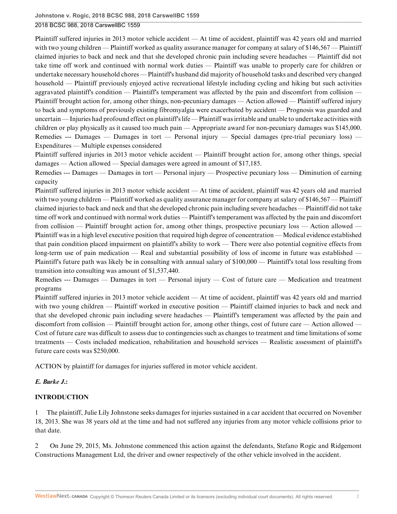Plaintiff suffered injuries in 2013 motor vehicle accident — At time of accident, plaintiff was 42 years old and married with two young children — Plaintiff worked as quality assurance manager for company at salary of \$146,567 — Plaintiff claimed injuries to back and neck and that she developed chronic pain including severe headaches — Plaintiff did not take time off work and continued with normal work duties — Plaintiff was unable to properly care for children or undertake necessary household chores — Plaintiff's husband did majority of household tasks and described very changed household — Plaintiff previously enjoyed active recreational lifestyle including cycling and hiking but such activities aggravated plaintiff's condition — Plaintiff's temperament was affected by the pain and discomfort from collision — Plaintiff brought action for, among other things, non-pecuniary damages — Action allowed — Plaintiff suffered injury to back and symptoms of previously existing fibromyalgia were exacerbated by accident — Prognosis was guarded and uncertain — Injuries had profound effect on plaintiff's life — Plaintiff was irritable and unable to undertake activities with children or play physically as it caused too much pain — Appropriate award for non-pecuniary damages was \$145,000. Remedies --- Damages — Damages in tort — Personal injury — Special damages (pre-trial pecuniary loss) — Expenditures — Multiple expenses considered

Plaintiff suffered injuries in 2013 motor vehicle accident — Plaintiff brought action for, among other things, special damages — Action allowed — Special damages were agreed in amount of \$17,185.

Remedies --- Damages — Damages in tort — Personal injury — Prospective pecuniary loss — Diminution of earning capacity

Plaintiff suffered injuries in 2013 motor vehicle accident — At time of accident, plaintiff was 42 years old and married with two young children — Plaintiff worked as quality assurance manager for company at salary of \$146,567 — Plaintiff claimed injuries to back and neck and that she developed chronic pain including severe headaches — Plaintiff did not take time off work and continued with normal work duties — Plaintiff's temperament was affected by the pain and discomfort from collision — Plaintiff brought action for, among other things, prospective pecuniary loss — Action allowed — Plaintiff was in a high level executive position that required high degree of concentration — Medical evidence established that pain condition placed impairment on plaintiff's ability to work — There were also potential cognitive effects from long-term use of pain medication — Real and substantial possibility of loss of income in future was established — Plaintiff's future path was likely be in consulting with annual salary of \$100,000 — Plaintiff's total loss resulting from transition into consulting was amount of \$1,537,440.

Remedies --- Damages — Damages in tort — Personal injury — Cost of future care — Medication and treatment programs

Plaintiff suffered injuries in 2013 motor vehicle accident — At time of accident, plaintiff was 42 years old and married with two young children — Plaintiff worked in executive position — Plaintiff claimed injuries to back and neck and that she developed chronic pain including severe headaches — Plaintiff's temperament was affected by the pain and discomfort from collision — Plaintiff brought action for, among other things, cost of future care — Action allowed — Cost of future care was difficult to assess due to contingencies such as changes to treatment and time limitations of some treatments — Costs included medication, rehabilitation and household services — Realistic assessment of plaintiff's future care costs was \$250,000.

ACTION by plaintiff for damages for injuries suffered in motor vehicle accident.

### *E. Burke J.***:**

### **INTRODUCTION**

1 The plaintiff, Julie Lily Johnstone seeks damages for injuries sustained in a car accident that occurred on November 18, 2013. She was 38 years old at the time and had not suffered any injuries from any motor vehicle collisions prior to that date.

2 On June 29, 2015, Ms. Johnstone commenced this action against the defendants, Stefano Rogic and Ridgemont Constructions Management Ltd, the driver and owner respectively of the other vehicle involved in the accident.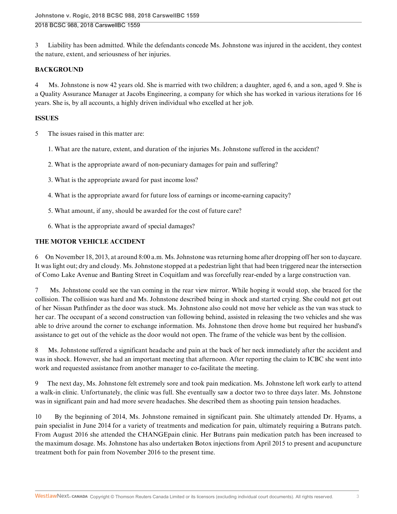3 Liability has been admitted. While the defendants concede Ms. Johnstone was injured in the accident, they contest the nature, extent, and seriousness of her injuries.

## **BACKGROUND**

4 Ms. Johnstone is now 42 years old. She is married with two children; a daughter, aged 6, and a son, aged 9. She is a Quality Assurance Manager at Jacobs Engineering, a company for which she has worked in various iterations for 16 years. She is, by all accounts, a highly driven individual who excelled at her job.

### **ISSUES**

5 The issues raised in this matter are:

- 1. What are the nature, extent, and duration of the injuries Ms. Johnstone suffered in the accident?
- 2. What is the appropriate award of non-pecuniary damages for pain and suffering?
- 3. What is the appropriate award for past income loss?
- 4. What is the appropriate award for future loss of earnings or income-earning capacity?
- 5. What amount, if any, should be awarded for the cost of future care?
- 6. What is the appropriate award of special damages?

## **THE MOTOR VEHICLE ACCIDENT**

6 On November 18, 2013, at around 8:00 a.m. Ms. Johnstone was returning home after dropping off her son to daycare. It was light out; dry and cloudy. Ms. Johnstone stopped at a pedestrian light that had been triggered near the intersection of Como Lake Avenue and Banting Street in Coquitlam and was forcefully rear-ended by a large construction van.

7 Ms. Johnstone could see the van coming in the rear view mirror. While hoping it would stop, she braced for the collision. The collision was hard and Ms. Johnstone described being in shock and started crying. She could not get out of her Nissan Pathfinder as the door was stuck. Ms. Johnstone also could not move her vehicle as the van was stuck to her car. The occupant of a second construction van following behind, assisted in releasing the two vehicles and she was able to drive around the corner to exchange information. Ms. Johnstone then drove home but required her husband's assistance to get out of the vehicle as the door would not open. The frame of the vehicle was bent by the collision.

8 Ms. Johnstone suffered a significant headache and pain at the back of her neck immediately after the accident and was in shock. However, she had an important meeting that afternoon. After reporting the claim to ICBC she went into work and requested assistance from another manager to co-facilitate the meeting.

9 The next day, Ms. Johnstone felt extremely sore and took pain medication. Ms. Johnstone left work early to attend a walk-in clinic. Unfortunately, the clinic was full. She eventually saw a doctor two to three days later. Ms. Johnstone was in significant pain and had more severe headaches. She described them as shooting pain tension headaches.

10 By the beginning of 2014, Ms. Johnstone remained in significant pain. She ultimately attended Dr. Hyams, a pain specialist in June 2014 for a variety of treatments and medication for pain, ultimately requiring a Butrans patch. From August 2016 she attended the CHANGEpain clinic. Her Butrans pain medication patch has been increased to the maximum dosage. Ms. Johnstone has also undertaken Botox injections from April 2015 to present and acupuncture treatment both for pain from November 2016 to the present time.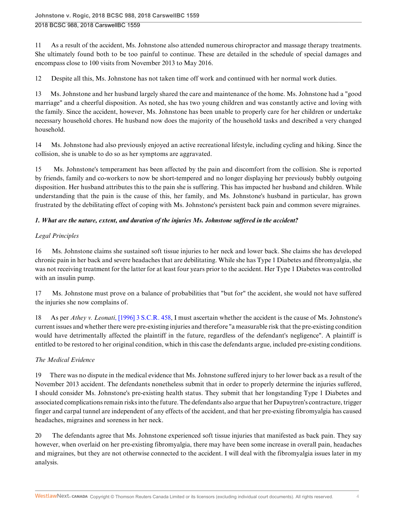11 As a result of the accident, Ms. Johnstone also attended numerous chiropractor and massage therapy treatments. She ultimately found both to be too painful to continue. These are detailed in the schedule of special damages and encompass close to 100 visits from November 2013 to May 2016.

12 Despite all this, Ms. Johnstone has not taken time off work and continued with her normal work duties.

13 Ms. Johnstone and her husband largely shared the care and maintenance of the home. Ms. Johnstone had a "good marriage" and a cheerful disposition. As noted, she has two young children and was constantly active and loving with the family. Since the accident, however, Ms. Johnstone has been unable to properly care for her children or undertake necessary household chores. He husband now does the majority of the household tasks and described a very changed household.

14 Ms. Johnstone had also previously enjoyed an active recreational lifestyle, including cycling and hiking. Since the collision, she is unable to do so as her symptoms are aggravated.

15 Ms. Johnstone's temperament has been affected by the pain and discomfort from the collision. She is reported by friends, family and co-workers to now be short-tempered and no longer displaying her previously bubbly outgoing disposition. Her husband attributes this to the pain she is suffering. This has impacted her husband and children. While understanding that the pain is the cause of this, her family, and Ms. Johnstone's husband in particular, has grown frustrated by the debilitating effect of coping with Ms. Johnstone's persistent back pain and common severe migraines.

## *1. What are the nature, extent, and duration of the injuries Ms. Johnstone suffered in the accident?*

## *Legal Principles*

16 Ms. Johnstone claims she sustained soft tissue injuries to her neck and lower back. She claims she has developed chronic pain in her back and severe headaches that are debilitating. While she has Type 1 Diabetes and fibromyalgia, she was not receiving treatment for the latter for at least four years prior to the accident. Her Type 1 Diabetes was controlled with an insulin pump.

17 Ms. Johnstone must prove on a balance of probabilities that "but for" the accident, she would not have suffered the injuries she now complains of.

18 As per *Athey v. Leonati*[, \[1996\] 3 S.C.R. 458,](http://nextcanada.westlaw.com/Link/Document/FullText?findType=Y&pubNum=6407&serNum=1996294309&originationContext=document&transitionType=DocumentItem&vr=3.0&rs=cblt1.0&contextData=(sc.History*oc.UserEnteredCitation)) I must ascertain whether the accident is the cause of Ms. Johnstone's current issues and whether there were pre-existing injuries and therefore "a measurable risk that the pre-existing condition would have detrimentally affected the plaintiff in the future, regardless of the defendant's negligence". A plaintiff is entitled to be restored to her original condition, which in this case the defendants argue, included pre-existing conditions.

## *The Medical Evidence*

19 There was no dispute in the medical evidence that Ms. Johnstone suffered injury to her lower back as a result of the November 2013 accident. The defendants nonetheless submit that in order to properly determine the injuries suffered, I should consider Ms. Johnstone's pre-existing health status. They submit that her longstanding Type 1 Diabetes and associated complications remain risks into the future. The defendants also argue that her Dupuytren's contracture, trigger finger and carpal tunnel are independent of any effects of the accident, and that her pre-existing fibromyalgia has caused headaches, migraines and soreness in her neck.

20 The defendants agree that Ms. Johnstone experienced soft tissue injuries that manifested as back pain. They say however, when overlaid on her pre-existing fibromyalgia, there may have been some increase in overall pain, headaches and migraines, but they are not otherwise connected to the accident. I will deal with the fibromyalgia issues later in my analysis.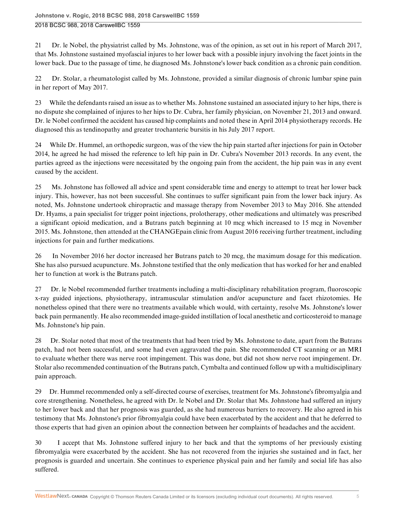21 Dr. le Nobel, the physiatrist called by Ms. Johnstone, was of the opinion, as set out in his report of March 2017, that Ms. Johnstone sustained myofascial injures to her lower back with a possible injury involving the facet joints in the lower back. Due to the passage of time, he diagnosed Ms. Johnstone's lower back condition as a chronic pain condition.

22 Dr. Stolar, a rheumatologist called by Ms. Johnstone, provided a similar diagnosis of chronic lumbar spine pain in her report of May 2017.

23 While the defendants raised an issue as to whether Ms. Johnstone sustained an associated injury to her hips, there is no dispute she complained of injures to her hips to Dr. Cubra, her family physician, on November 21, 2013 and onward. Dr. le Nobel confirmed the accident has caused hip complaints and noted these in April 2014 physiotherapy records. He diagnosed this as tendinopathy and greater trochanteric bursitis in his July 2017 report.

24 While Dr. Hummel, an orthopedic surgeon, was of the view the hip pain started after injections for pain in October 2014, he agreed he had missed the reference to left hip pain in Dr. Cubra's November 2013 records. In any event, the parties agreed as the injections were necessitated by the ongoing pain from the accident, the hip pain was in any event caused by the accident.

25 Ms. Johnstone has followed all advice and spent considerable time and energy to attempt to treat her lower back injury. This, however, has not been successful. She continues to suffer significant pain from the lower back injury. As noted, Ms. Johnstone undertook chiropractic and massage therapy from November 2013 to May 2016. She attended Dr. Hyams, a pain specialist for trigger point injections, prolotherapy, other medications and ultimately was prescribed a significant opioid medication, and a Butrans patch beginning at 10 mcg which increased to 15 mcg in November 2015. Ms. Johnstone, then attended at the CHANGEpain clinic from August 2016 receiving further treatment, including injections for pain and further medications.

26 In November 2016 her doctor increased her Butrans patch to 20 mcg, the maximum dosage for this medication. She has also pursued acupuncture. Ms. Johnstone testified that the only medication that has worked for her and enabled her to function at work is the Butrans patch.

27 Dr. le Nobel recommended further treatments including a multi-disciplinary rehabilitation program, fluoroscopic x-ray guided injections, physiotherapy, intramuscular stimulation and/or acupuncture and facet rhizotomies. He nonetheless opined that there were no treatments available which would, with certainty, resolve Ms. Johnstone's lower back pain permanently. He also recommended image-guided instillation of local anesthetic and corticosteroid to manage Ms. Johnstone's hip pain.

28 Dr. Stolar noted that most of the treatments that had been tried by Ms. Johnstone to date, apart from the Butrans patch, had not been successful, and some had even aggravated the pain. She recommended CT scanning or an MRI to evaluate whether there was nerve root impingement. This was done, but did not show nerve root impingement. Dr. Stolar also recommended continuation of the Butrans patch, Cymbalta and continued follow up with a multidisciplinary pain approach.

29 Dr. Hummel recommended only a self-directed course of exercises, treatment for Ms. Johnstone's fibromyalgia and core strengthening. Nonetheless, he agreed with Dr. le Nobel and Dr. Stolar that Ms. Johnstone had suffered an injury to her lower back and that her prognosis was guarded, as she had numerous barriers to recovery. He also agreed in his testimony that Ms. Johnstone's prior fibromyalgia could have been exacerbated by the accident and that he deferred to those experts that had given an opinion about the connection between her complaints of headaches and the accident.

30 I accept that Ms. Johnstone suffered injury to her back and that the symptoms of her previously existing fibromyalgia were exacerbated by the accident. She has not recovered from the injuries she sustained and in fact, her prognosis is guarded and uncertain. She continues to experience physical pain and her family and social life has also suffered.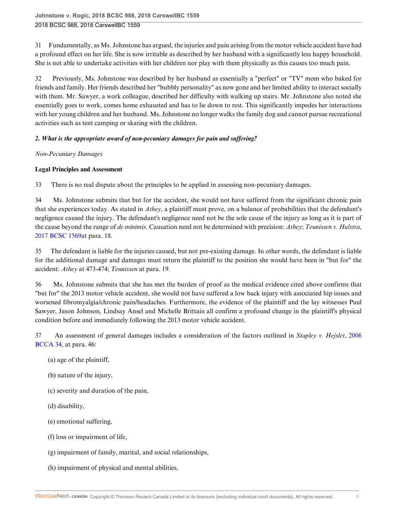31 Fundamentally, as Ms. Johnstone has argued, the injuries and pain arising from the motor vehicle accident have had a profound effect on her life. She is now irritable as described by her husband with a significantly less happy household. She is not able to undertake activities with her children nor play with them physically as this causes too much pain.

32 Previously, Ms. Johnstone was described by her husband as essentially a "perfect" or "TV" mom who baked for friends and family. Her friends described her "bubbly personality" as now gone and her limited ability to interact socially with them. Mr. Sawyer, a work colleague, described her difficulty with walking up stairs. Mr. Johnstone also noted she essentially goes to work, comes home exhausted and has to lie down to rest. This significantly impedes her interactions with her young children and her husband. Ms. Johnstone no longer walks the family dog and cannot pursue recreational activities such as tent camping or skating with the children.

## *2. What is the appropriate award of non-pecuniary damages for pain and suffering?*

*Non-Pecuniary Damages*

## **Legal Principles and Assessment**

33 There is no real dispute about the principles to be applied in assessing non-pecuniary damages.

34 Ms. Johnstone submits that but for the accident, she would not have suffered from the significant chronic pain that she experiences today. As stated in *Athey*, a plaintiff must prove, on a balance of probabilities that the defendant's negligence caused the injury. The defendant's negligence need not be the sole cause of the injury as long as it is part of the cause beyond the range of *de minimis*. Causation need not be determined with precision: *Athey*; *Teunissen v. Hulstra*[,](http://nextcanada.westlaw.com/Link/Document/FullText?findType=Y&pubNum=6407&serNum=2042526970&originationContext=document&transitionType=DocumentItem&vr=3.0&rs=cblt1.0&contextData=(sc.History*oc.UserEnteredCitation)) [2017 BCSC 1569a](http://nextcanada.westlaw.com/Link/Document/FullText?findType=Y&pubNum=6407&serNum=2042526970&originationContext=document&transitionType=DocumentItem&vr=3.0&rs=cblt1.0&contextData=(sc.History*oc.UserEnteredCitation))t para. 18.

35 The defendant is liable for the injuries caused, but not pre-existing damage. In other words, the defendant is liable for the additional damage and damages must return the plaintiff to the position she would have been in "but for" the accident: *Athey* at 473-474; *Teunissen* at para. 19.

36 Ms. Johnstone submits that she has met the burden of proof as the medical evidence cited above confirms that "but for" the 2013 motor vehicle accident, she would not have suffered a low back injury with associated hip issues and worsened fibromyalgia/chronic pain/headaches. Furthermore, the evidence of the plaintiff and the lay witnesses Paul Sawyer, Jason Johnson, Lindsay Ansel and Michelle Brittain all confirm a profound change in the plaintiff's physical condition before and immediately following the 2013 motor vehicle accident.

37 An assessment of general damages includes a consideration of the factors outlined in *Stapley v. Hejslet*[, 2006](http://nextcanada.westlaw.com/Link/Document/FullText?findType=Y&pubNum=6407&serNum=2008054597&originationContext=document&transitionType=DocumentItem&vr=3.0&rs=cblt1.0&contextData=(sc.History*oc.UserEnteredCitation)) [BCCA 34](http://nextcanada.westlaw.com/Link/Document/FullText?findType=Y&pubNum=6407&serNum=2008054597&originationContext=document&transitionType=DocumentItem&vr=3.0&rs=cblt1.0&contextData=(sc.History*oc.UserEnteredCitation)), at para. 46:

- (a) age of the plaintiff,
- (b) nature of the injury,
- (c) severity and duration of the pain,
- (d) disability,
- (e) emotional suffering,
- (f) loss or impairment of life,
- (g) impairment of family, marital, and social relationships,
- (h) impairment of physical and mental abilities,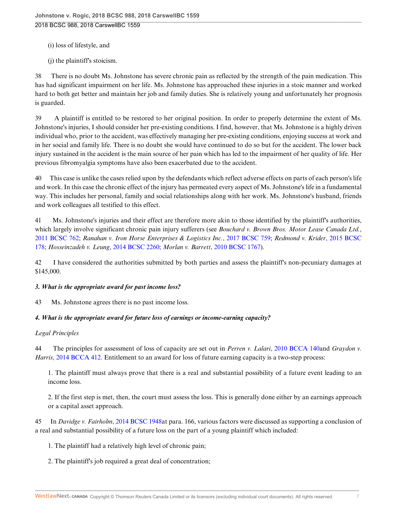- (i) loss of lifestyle, and
- (j) the plaintiff's stoicism.

38 There is no doubt Ms. Johnstone has severe chronic pain as reflected by the strength of the pain medication. This has had significant impairment on her life. Ms. Johnstone has approached these injuries in a stoic manner and worked hard to both get better and maintain her job and family duties. She is relatively young and unfortunately her prognosis is guarded.

39 A plaintiff is entitled to be restored to her original position. In order to properly determine the extent of Ms. Johnstone's injuries, I should consider her pre-existing conditions. I find, however, that Ms. Johnstone is a highly driven individual who, prior to the accident, was effectively managing her pre-existing conditions, enjoying success at work and in her social and family life. There is no doubt she would have continued to do so but for the accident. The lower back injury sustained in the accident is the main source of her pain which has led to the impairment of her quality of life. Her previous fibromyalgia symptoms have also been exacerbated due to the accident.

40 This case is unlike the cases relied upon by the defendants which reflect adverse effects on parts of each person's life and work. In this case the chronic effect of the injury has permeated every aspect of Ms. Johnstone's life in a fundamental way. This includes her personal, family and social relationships along with her work. Ms. Johnstone's husband, friends and work colleagues all testified to this effect.

41 Ms. Johnstone's injuries and their effect are therefore more akin to those identified by the plaintiff's authorities, which largely involve significant chronic pain injury sufferers (see *Bouchard v. Brown Bros. Motor Lease Canada Ltd.*[,](http://nextcanada.westlaw.com/Link/Document/FullText?findType=Y&pubNum=6407&serNum=2025494487&originationContext=document&transitionType=DocumentItem&vr=3.0&rs=cblt1.0&contextData=(sc.History*oc.UserEnteredCitation)) [2011 BCSC 762;](http://nextcanada.westlaw.com/Link/Document/FullText?findType=Y&pubNum=6407&serNum=2025494487&originationContext=document&transitionType=DocumentItem&vr=3.0&rs=cblt1.0&contextData=(sc.History*oc.UserEnteredCitation)) *Ranahan v. Iron Horse Enterprises & Logistics Inc.*[, 2017 BCSC 759](http://nextcanada.westlaw.com/Link/Document/FullText?findType=Y&pubNum=6407&serNum=2041612979&originationContext=document&transitionType=DocumentItem&vr=3.0&rs=cblt1.0&contextData=(sc.History*oc.UserEnteredCitation)); *Redmond v. Krider*[, 2015 BCSC](http://nextcanada.westlaw.com/Link/Document/FullText?findType=Y&pubNum=6407&serNum=2035428003&originationContext=document&transitionType=DocumentItem&vr=3.0&rs=cblt1.0&contextData=(sc.History*oc.UserEnteredCitation)) [178](http://nextcanada.westlaw.com/Link/Document/FullText?findType=Y&pubNum=6407&serNum=2035428003&originationContext=document&transitionType=DocumentItem&vr=3.0&rs=cblt1.0&contextData=(sc.History*oc.UserEnteredCitation)); *Hosseinzadeh v. Leung*[, 2014 BCSC 2260;](http://nextcanada.westlaw.com/Link/Document/FullText?findType=Y&pubNum=6407&serNum=2034903824&originationContext=document&transitionType=DocumentItem&vr=3.0&rs=cblt1.0&contextData=(sc.History*oc.UserEnteredCitation)) *Morlan v. Barrett*[, 2010 BCSC 1767\)](http://nextcanada.westlaw.com/Link/Document/FullText?findType=Y&pubNum=6407&serNum=2024075194&originationContext=document&transitionType=DocumentItem&vr=3.0&rs=cblt1.0&contextData=(sc.History*oc.UserEnteredCitation)).

42 I have considered the authorities submitted by both parties and assess the plaintiff's non-pecuniary damages at \$145,000.

### *3. What is the appropriate award for past income loss?*

43 Ms. Johnstone agrees there is no past income loss.

### *4. What is the appropriate award for future loss of earnings or income-earning capacity?*

### *Legal Principles*

44 The principles for assessment of loss of capacity are set out in *Perren v. Lalari*[, 2010 BCCA 140a](http://nextcanada.westlaw.com/Link/Document/FullText?findType=Y&pubNum=6407&serNum=2021582431&originationContext=document&transitionType=DocumentItem&vr=3.0&rs=cblt1.0&contextData=(sc.History*oc.UserEnteredCitation))nd *Graydon v. Harris*[, 2014 BCCA 412](http://nextcanada.westlaw.com/Link/Document/FullText?findType=Y&pubNum=6407&serNum=2034694822&originationContext=document&transitionType=DocumentItem&vr=3.0&rs=cblt1.0&contextData=(sc.History*oc.UserEnteredCitation)). Entitlement to an award for loss of future earning capacity is a two-step process:

1. The plaintiff must always prove that there is a real and substantial possibility of a future event leading to an income loss.

2. If the first step is met, then, the court must assess the loss. This is generally done either by an earnings approach or a capital asset approach.

45 In *Davidge v. Fairholm*[, 2014 BCSC 1948a](http://nextcanada.westlaw.com/Link/Document/FullText?findType=Y&pubNum=6407&serNum=2034644535&originationContext=document&transitionType=DocumentItem&vr=3.0&rs=cblt1.0&contextData=(sc.History*oc.UserEnteredCitation))t para. 166, various factors were discussed as supporting a conclusion of a real and substantial possibility of a future loss on the part of a young plaintiff which included:

1. The plaintiff had a relatively high level of chronic pain;

2. The plaintiff's job required a great deal of concentration;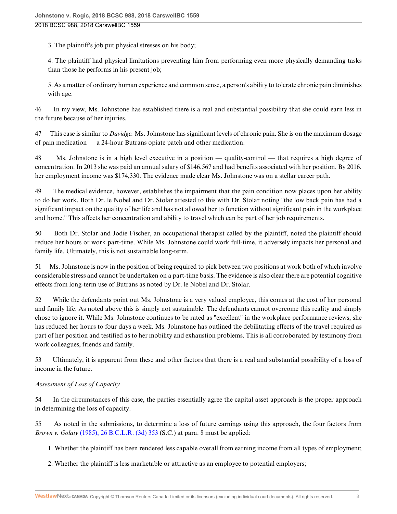3. The plaintiff's job put physical stresses on his body;

4. The plaintiff had physical limitations preventing him from performing even more physically demanding tasks than those he performs in his present job;

5. As a matter of ordinary human experience and common sense, a person's ability to tolerate chronic pain diminishes with age.

46 In my view, Ms. Johnstone has established there is a real and substantial possibility that she could earn less in the future because of her injuries.

47 This case is similar to *Davidge.* Ms. Johnstone has significant levels of chronic pain. She is on the maximum dosage of pain medication — a 24-hour Butrans opiate patch and other medication.

48 Ms. Johnstone is in a high level executive in a position — quality-control — that requires a high degree of concentration. In 2013 she was paid an annual salary of \$146,567 and had benefits associated with her position. By 2016, her employment income was \$174,330. The evidence made clear Ms. Johnstone was on a stellar career path.

49 The medical evidence, however, establishes the impairment that the pain condition now places upon her ability to do her work. Both Dr. le Nobel and Dr. Stolar attested to this with Dr. Stolar noting "the low back pain has had a significant impact on the quality of her life and has not allowed her to function without significant pain in the workplace and home." This affects her concentration and ability to travel which can be part of her job requirements.

50 Both Dr. Stolar and Jodie Fischer, an occupational therapist called by the plaintiff, noted the plaintiff should reduce her hours or work part-time. While Ms. Johnstone could work full-time, it adversely impacts her personal and family life. Ultimately, this is not sustainable long-term.

51 Ms. Johnstone is now in the position of being required to pick between two positions at work both of which involve considerable stress and cannot be undertaken on a part-time basis. The evidence is also clear there are potential cognitive effects from long-term use of Butrans as noted by Dr. le Nobel and Dr. Stolar.

52 While the defendants point out Ms. Johnstone is a very valued employee, this comes at the cost of her personal and family life. As noted above this is simply not sustainable. The defendants cannot overcome this reality and simply chose to ignore it. While Ms. Johnstone continues to be rated as "excellent" in the workplace performance reviews, she has reduced her hours to four days a week. Ms. Johnstone has outlined the debilitating effects of the travel required as part of her position and testified as to her mobility and exhaustion problems. This is all corroborated by testimony from work colleagues, friends and family.

53 Ultimately, it is apparent from these and other factors that there is a real and substantial possibility of a loss of income in the future.

## *Assessment of Loss of Capacity*

54 In the circumstances of this case, the parties essentially agree the capital asset approach is the proper approach in determining the loss of capacity.

55 As noted in the submissions, to determine a loss of future earnings using this approach, the four factors from *Brown v. Golaiy* [\(1985\), 26 B.C.L.R. \(3d\) 353](http://nextcanada.westlaw.com/Link/Document/FullText?findType=Y&pubNum=6407&serNum=1985196895&originationContext=document&transitionType=DocumentItem&vr=3.0&rs=cblt1.0&contextData=(sc.History*oc.UserEnteredCitation)) (S.C.) at para. 8 must be applied:

1. Whether the plaintiff has been rendered less capable overall from earning income from all types of employment;

2. Whether the plaintiff is less marketable or attractive as an employee to potential employers;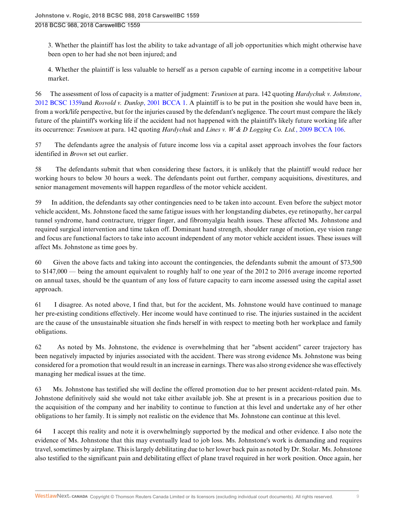3. Whether the plaintiff has lost the ability to take advantage of all job opportunities which might otherwise have been open to her had she not been injured; and

4. Whether the plaintiff is less valuable to herself as a person capable of earning income in a competitive labour market.

56 The assessment of loss of capacity is a matter of judgment: *Teunissen* at para. 142 quoting *Hardychuk v. Johnstone*[,](http://nextcanada.westlaw.com/Link/Document/FullText?findType=Y&pubNum=6407&serNum=2028636470&originationContext=document&transitionType=DocumentItem&vr=3.0&rs=cblt1.0&contextData=(sc.History*oc.UserEnteredCitation)) [2012 BCSC 1359](http://nextcanada.westlaw.com/Link/Document/FullText?findType=Y&pubNum=6407&serNum=2028636470&originationContext=document&transitionType=DocumentItem&vr=3.0&rs=cblt1.0&contextData=(sc.History*oc.UserEnteredCitation))and *Rosvold v. Dunlop*[, 2001 BCCA 1.](http://nextcanada.westlaw.com/Link/Document/FullText?findType=Y&pubNum=6407&serNum=2001030915&originationContext=document&transitionType=DocumentItem&vr=3.0&rs=cblt1.0&contextData=(sc.History*oc.UserEnteredCitation)) A plaintiff is to be put in the position she would have been in, from a work/life perspective, but for the injuries caused by the defendant's negligence. The court must compare the likely future of the plaintiff's working life if the accident had not happened with the plaintiff's likely future working life after its occurrence: *Teunissen* at para. 142 quoting *Hardychuk* and *Lines v. W & D Logging Co. Ltd.*[, 2009 BCCA 106](http://nextcanada.westlaw.com/Link/Document/FullText?findType=Y&pubNum=6407&serNum=2018365364&originationContext=document&transitionType=DocumentItem&vr=3.0&rs=cblt1.0&contextData=(sc.History*oc.UserEnteredCitation)).

57 The defendants agree the analysis of future income loss via a capital asset approach involves the four factors identified in *Brown* set out earlier.

58 The defendants submit that when considering these factors, it is unlikely that the plaintiff would reduce her working hours to below 30 hours a week. The defendants point out further, company acquisitions, divestitures, and senior management movements will happen regardless of the motor vehicle accident.

59 In addition, the defendants say other contingencies need to be taken into account. Even before the subject motor vehicle accident, Ms. Johnstone faced the same fatigue issues with her longstanding diabetes, eye retinopathy, her carpal tunnel syndrome, hand contracture, trigger finger, and fibromyalgia health issues. These affected Ms. Johnstone and required surgical intervention and time taken off. Dominant hand strength, shoulder range of motion, eye vision range and focus are functional factors to take into account independent of any motor vehicle accident issues. These issues will affect Ms. Johnstone as time goes by.

60 Given the above facts and taking into account the contingencies, the defendants submit the amount of \$73,500 to \$147,000 — being the amount equivalent to roughly half to one year of the 2012 to 2016 average income reported on annual taxes, should be the quantum of any loss of future capacity to earn income assessed using the capital asset approach.

61 I disagree. As noted above, I find that, but for the accident, Ms. Johnstone would have continued to manage her pre-existing conditions effectively. Her income would have continued to rise. The injuries sustained in the accident are the cause of the unsustainable situation she finds herself in with respect to meeting both her workplace and family obligations.

62 As noted by Ms. Johnstone, the evidence is overwhelming that her "absent accident" career trajectory has been negatively impacted by injuries associated with the accident. There was strong evidence Ms. Johnstone was being considered for a promotion that would result in an increase in earnings. There was also strong evidence she was effectively managing her medical issues at the time.

63 Ms. Johnstone has testified she will decline the offered promotion due to her present accident-related pain. Ms. Johnstone definitively said she would not take either available job. She at present is in a precarious position due to the acquisition of the company and her inability to continue to function at this level and undertake any of her other obligations to her family. It is simply not realistic on the evidence that Ms. Johnstone can continue at this level.

64 I accept this reality and note it is overwhelmingly supported by the medical and other evidence. I also note the evidence of Ms. Johnstone that this may eventually lead to job loss. Ms. Johnstone's work is demanding and requires travel, sometimes by airplane. This is largely debilitating due to her lower back pain as noted by Dr. Stolar. Ms. Johnstone also testified to the significant pain and debilitating effect of plane travel required in her work position. Once again, her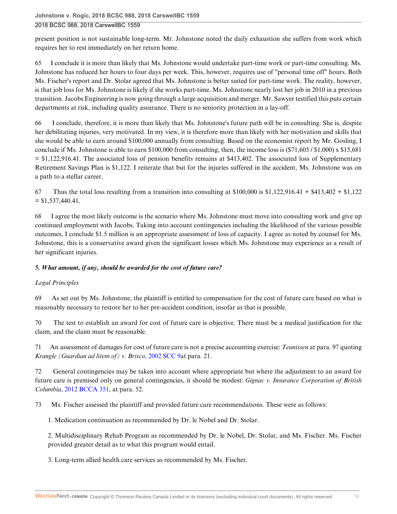present position is not sustainable long-term. Mr. Johnstone noted the daily exhaustion she suffers from work which requires her to rest immediately on her return home.

65 I conclude it is more than likely that Ms. Johnstone would undertake part-time work or part-time consulting. Ms. Johnstone has reduced her hours to four days per week. This, however, requires use of "personal time off" hours. Both Ms. Fischer's report and Dr. Stolar agreed that Ms. Johnstone is better suited for part-time work. The reality, however, is that job loss for Ms. Johnstone is likely if she works part-time. Ms. Johnstone nearly lost her job in 2010 in a previous transition. Jacobs Engineering is now going through a large acquisition and merger. Mr. Sawyer testified this puts certain departments at risk, including quality assurance. There is no seniority protection in a lay-off.

66 I conclude, therefore, it is more than likely that Ms. Johnstone's future path will be in consulting. She is, despite her debilitating injuries, very motivated. In my view, it is therefore more than likely with her motivation and skills that she would be able to earn around \$100,000 annually from consulting. Based on the economist report by Mr. Gosling, I conclude if Ms. Johnstone is able to earn \$100,000 from consulting, then, the income loss is  $(\$71,605 / \$1,000) \times \$15,681$ = \$1,122,916.41. The associated loss of pension benefits remains at \$413,402. The associated loss of Supplementary Retirement Savings Plan is \$1,122. I reiterate that but for the injuries suffered in the accident, Ms. Johnstone was on a path to a stellar career.

67 Thus the total loss resulting from a transition into consulting at \$100,000 is  $$1,122,916.41 + $413,402 + $1,122$  $=$  \$1,537,440.41.

68 I agree the most likely outcome is the scenario where Ms. Johnstone must move into consulting work and give up continued employment with Jacobs. Taking into account contingencies including the likelihood of the various possible outcomes, I conclude \$1.5 million is an appropriate assessment of loss of capacity. I agree as noted by counsel for Ms. Johnstone, this is a conservative award given the significant losses which Ms. Johnstone may experience as a result of her significant injuries.

## *5. What amount, if any, should be awarded for the cost of future care?*

## *Legal Principles*

69 As set out by Ms. Johnstone, the plaintiff is entitled to compensation for the cost of future care based on what is reasonably necessary to restore her to her pre-accident condition, insofar as that is possible.

70 The test to establish an award for cost of future care is objective. There must be a medical justification for the claim, and the claim must be reasonable.

71 An assessment of damages for cost of future care is not a precise accounting exercise: *Teunissen* at para. 97 quoting *Krangle (Guardian ad litem of) v. Brisco*[, 2002 SCC 9a](http://nextcanada.westlaw.com/Link/Document/FullText?findType=Y&pubNum=6407&serNum=2002031513&originationContext=document&transitionType=DocumentItem&vr=3.0&rs=cblt1.0&contextData=(sc.History*oc.UserEnteredCitation))t para. 21.

72 General contingencies may be taken into account where appropriate but where the adjustment to an award for future care is premised only on general contingencies, it should be modest: *Gignac v. Insurance Corporation of British Columbia*[, 2012 BCCA 351](http://nextcanada.westlaw.com/Link/Document/FullText?findType=Y&pubNum=6407&serNum=2028435614&originationContext=document&transitionType=DocumentItem&vr=3.0&rs=cblt1.0&contextData=(sc.History*oc.UserEnteredCitation)), at para. 52.

73 Ms. Fischer assessed the plaintiff and provided future care recommendations. These were as follows:

1. Medication continuation as recommended by Dr. le Nobel and Dr. Stolar.

2. Multidisciplinary Rehab Program as recommended by Dr. le Nobel, Dr. Stolar, and Ms. Fischer. Ms. Fischer provided greater detail as to what this program would entail.

3. Long-term allied health care services as recommended by Ms. Fischer.